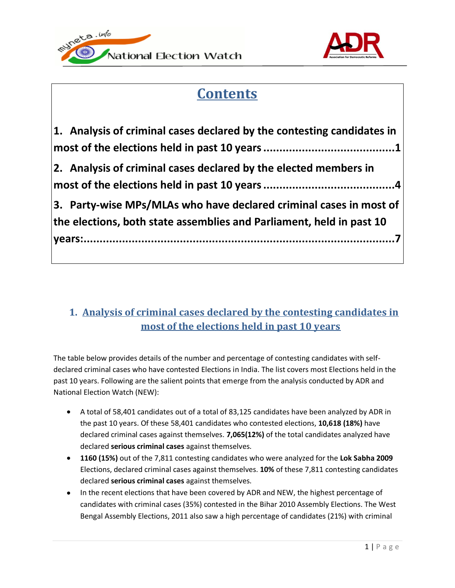



# **Contents**

| 2. Analysis of criminal cases declared by the elected members in     | 1. Analysis of criminal cases declared by the contesting candidates in |
|----------------------------------------------------------------------|------------------------------------------------------------------------|
|                                                                      |                                                                        |
|                                                                      |                                                                        |
| the elections, both state assemblies and Parliament, held in past 10 | 3. Party-wise MPs/MLAs who have declared criminal cases in most of     |

# <span id="page-0-0"></span>**1. Analysis of criminal cases declared by the contesting candidates in most of the elections held in past 10 years**

The table below provides details of the number and percentage of contesting candidates with selfdeclared criminal cases who have contested Elections in India. The list covers most Elections held in the past 10 years. Following are the salient points that emerge from the analysis conducted by ADR and National Election Watch (NEW):

- A total of 58,401 candidates out of a total of 83,125 candidates have been analyzed by ADR in the past 10 years. Of these 58,401 candidates who contested elections, **10,618 (18%)** have declared criminal cases against themselves. **7,065(12%)** of the total candidates analyzed have declared **serious criminal cases** against themselves.
- **1160 (15%)** out of the 7,811 contesting candidates who were analyzed for the **Lok Sabha 2009** Elections, declared criminal cases against themselves. **10%** of these 7,811 contesting candidates declared **serious criminal cases** against themselves.
- In the recent elections that have been covered by ADR and NEW, the highest percentage of candidates with criminal cases (35%) contested in the Bihar 2010 Assembly Elections. The West Bengal Assembly Elections, 2011 also saw a high percentage of candidates (21%) with criminal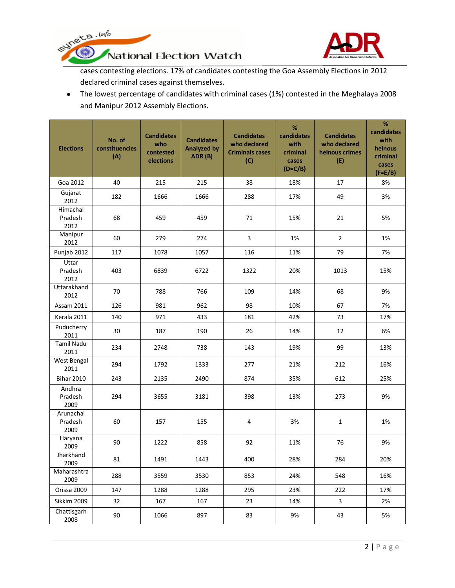

runeta.info National Election Watch

3. S

cases contesting elections. 17% of candidates contesting the Goa Assembly Elections in 2012 declared criminal cases against themselves.

The lowest percentage of candidates with criminal cases (1%) contested in the Meghalaya 2008 and Manipur 2012 Assembly Elections.

| <b>Elections</b>             | No. of<br>constituencies<br>(A) | <b>Candidates</b><br>who<br>contested<br>elections | <b>Candidates</b><br><b>Analyzed by</b><br>ADR (B) | <b>Candidates</b><br>who declared<br><b>Criminals cases</b><br>(C) | %<br>candidates<br>with<br>criminal<br>cases<br>$(D=C/B)$ | <b>Candidates</b><br>who declared<br>heinous crimes<br>(E) | $\%$<br>candidates<br>with<br>heinous<br>criminal<br>cases<br>$(F=E/B)$ |
|------------------------------|---------------------------------|----------------------------------------------------|----------------------------------------------------|--------------------------------------------------------------------|-----------------------------------------------------------|------------------------------------------------------------|-------------------------------------------------------------------------|
| Goa 2012                     | 40                              | 215                                                | 215                                                | 38                                                                 | 18%                                                       | 17                                                         | 8%                                                                      |
| Gujarat<br>2012              | 182                             | 1666                                               | 1666                                               | 288                                                                | 17%                                                       | 49                                                         | 3%                                                                      |
| Himachal<br>Pradesh<br>2012  | 68                              | 459                                                | 459                                                | 71                                                                 | 15%                                                       | 21                                                         | 5%                                                                      |
| Manipur<br>2012              | 60                              | 279                                                | 274                                                | 3                                                                  | 1%                                                        | $\overline{2}$                                             | 1%                                                                      |
| Punjab 2012                  | 117                             | 1078                                               | 1057                                               | 116                                                                | 11%                                                       | 79                                                         | 7%                                                                      |
| Uttar<br>Pradesh<br>2012     | 403                             | 6839                                               | 6722                                               | 1322                                                               | 20%                                                       | 1013                                                       | 15%                                                                     |
| Uttarakhand<br>2012          | 70                              | 788                                                | 766                                                | 109                                                                | 14%                                                       | 68                                                         | 9%                                                                      |
| <b>Assam 2011</b>            | 126                             | 981                                                | 962                                                | 98                                                                 | 10%                                                       | 67                                                         | 7%                                                                      |
| Kerala 2011                  | 140                             | 971                                                | 433                                                | 181                                                                | 42%                                                       | 73                                                         | 17%                                                                     |
| Puducherry<br>2011           | 30                              | 187                                                | 190                                                | 26                                                                 | 14%                                                       | 12                                                         | 6%                                                                      |
| <b>Tamil Nadu</b><br>2011    | 234                             | 2748                                               | 738                                                | 143                                                                | 19%                                                       | 99                                                         | 13%                                                                     |
| West Bengal<br>2011          | 294                             | 1792                                               | 1333                                               | 277                                                                | 21%                                                       | 212                                                        | 16%                                                                     |
| <b>Bihar 2010</b>            | 243                             | 2135                                               | 2490                                               | 874                                                                | 35%                                                       | 612                                                        | 25%                                                                     |
| Andhra<br>Pradesh<br>2009    | 294                             | 3655                                               | 3181                                               | 398                                                                | 13%                                                       | 273                                                        | 9%                                                                      |
| Arunachal<br>Pradesh<br>2009 | 60                              | 157                                                | 155                                                | 4                                                                  | 3%                                                        | $\mathbf{1}$                                               | 1%                                                                      |
| Haryana<br>2009              | 90                              | 1222                                               | 858                                                | 92                                                                 | 11%                                                       | 76                                                         | 9%                                                                      |
| Jharkhand<br>2009            | 81                              | 1491                                               | 1443                                               | 400                                                                | 28%                                                       | 284                                                        | 20%                                                                     |
| Maharashtra<br>2009          | 288                             | 3559                                               | 3530                                               | 853                                                                | 24%                                                       | 548                                                        | 16%                                                                     |
| Orissa 2009                  | 147                             | 1288                                               | 1288                                               | 295                                                                | 23%                                                       | 222                                                        | 17%                                                                     |
| Sikkim 2009                  | 32                              | 167                                                | 167                                                | 23                                                                 | 14%                                                       | $\overline{3}$                                             | 2%                                                                      |
| Chattisgarh<br>2008          | 90                              | 1066                                               | 897                                                | 83                                                                 | 9%                                                        | 43                                                         | 5%                                                                      |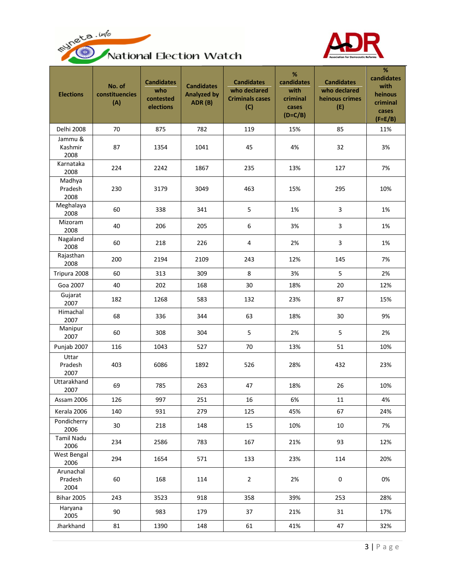



| National Election Watch |  |  |
|-------------------------|--|--|
|-------------------------|--|--|

| <b>Elections</b>             | No. of<br>constituencies<br>(A) | <b>Candidates</b><br>who<br>contested<br>elections | <b>Candidates</b><br><b>Analyzed by</b><br>ADR (B) | <b>Candidates</b><br>who declared<br><b>Criminals cases</b><br>(C) | %<br>candidates<br>with<br>criminal<br>cases<br>$(D=C/B)$ | <b>Candidates</b><br>who declared<br>heinous crimes<br>(E) | $\%$<br>candidates<br>with<br>heinous<br>criminal<br>cases<br>$(F=E/B)$ |
|------------------------------|---------------------------------|----------------------------------------------------|----------------------------------------------------|--------------------------------------------------------------------|-----------------------------------------------------------|------------------------------------------------------------|-------------------------------------------------------------------------|
| Delhi 2008                   | 70                              | 875                                                | 782                                                | 119                                                                | 15%                                                       | 85                                                         | 11%                                                                     |
| Jammu &<br>Kashmir<br>2008   | 87                              | 1354                                               | 1041                                               | 45                                                                 | 4%                                                        | 32                                                         | 3%                                                                      |
| Karnataka<br>2008            | 224                             | 2242                                               | 1867                                               | 235                                                                | 13%                                                       | 127                                                        | 7%                                                                      |
| Madhya<br>Pradesh<br>2008    | 230                             | 3179                                               | 3049                                               | 463                                                                | 15%                                                       | 295                                                        | 10%                                                                     |
| Meghalaya<br>2008            | 60                              | 338                                                | 341                                                | 5                                                                  | 1%                                                        | 3                                                          | 1%                                                                      |
| Mizoram<br>2008              | 40                              | 206                                                | 205                                                | 6                                                                  | 3%                                                        | 3                                                          | 1%                                                                      |
| Nagaland<br>2008             | 60                              | 218                                                | 226                                                | $\overline{4}$                                                     | 2%                                                        | 3                                                          | 1%                                                                      |
| Rajasthan<br>2008            | 200                             | 2194                                               | 2109                                               | 243                                                                | 12%                                                       | 145                                                        | 7%                                                                      |
| Tripura 2008                 | 60                              | 313                                                | 309                                                | $\,8\,$                                                            | 3%                                                        | 5                                                          | 2%                                                                      |
| Goa 2007                     | 40                              | 202                                                | 168                                                | 30                                                                 | 18%                                                       | 20                                                         | 12%                                                                     |
| Gujarat<br>2007              | 182                             | 1268                                               | 583                                                | 132                                                                | 23%                                                       | 87                                                         | 15%                                                                     |
| Himachal<br>2007             | 68                              | 336                                                | 344                                                | 63                                                                 | 18%                                                       | 30                                                         | 9%                                                                      |
| Manipur<br>2007              | 60                              | 308                                                | 304                                                | 5                                                                  | 2%                                                        | 5                                                          | 2%                                                                      |
| Punjab 2007                  | 116                             | 1043                                               | 527                                                | 70                                                                 | 13%                                                       | 51                                                         | 10%                                                                     |
| Uttar<br>Pradesh<br>2007     | 403                             | 6086                                               | 1892                                               | 526                                                                | 28%                                                       | 432                                                        | 23%                                                                     |
| Uttarakhand<br>2007          | 69                              | 785                                                | 263                                                | 47                                                                 | 18%                                                       | 26                                                         | 10%                                                                     |
| Assam 2006                   | 126                             | 997                                                | 251                                                | 16                                                                 | 6%                                                        | $11\,$                                                     | $4%$                                                                    |
| Kerala 2006                  | 140                             | 931                                                | 279                                                | 125                                                                | 45%                                                       | 67                                                         | 24%                                                                     |
| Pondicherry<br>2006          | 30                              | 218                                                | 148                                                | 15                                                                 | 10%                                                       | 10                                                         | 7%                                                                      |
| <b>Tamil Nadu</b><br>2006    | 234                             | 2586                                               | 783                                                | 167                                                                | 21%                                                       | 93                                                         | 12%                                                                     |
| West Bengal<br>2006          | 294                             | 1654                                               | 571                                                | 133                                                                | 23%                                                       | 114                                                        | 20%                                                                     |
| Arunachal<br>Pradesh<br>2004 | 60                              | 168                                                | 114                                                | $\overline{2}$                                                     | 2%                                                        | $\pmb{0}$                                                  | 0%                                                                      |
| <b>Bihar 2005</b>            | 243                             | 3523                                               | 918                                                | 358                                                                | 39%                                                       | 253                                                        | 28%                                                                     |
| Haryana<br>2005              | 90                              | 983                                                | 179                                                | 37                                                                 | 21%                                                       | 31                                                         | 17%                                                                     |
| Jharkhand                    | 81                              | 1390                                               | 148                                                | 61                                                                 | 41%                                                       | 47                                                         | 32%                                                                     |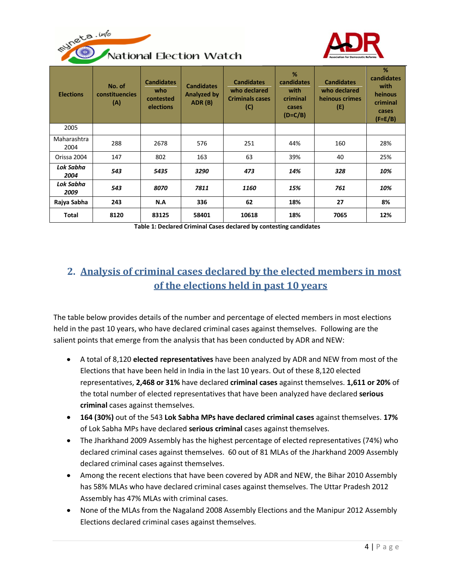



National Election Watch

| <b>Elections</b>    | No. of<br>constituencies<br>(A) | <b>Candidates</b><br>who<br>contested<br>elections | <b>Candidates</b><br><b>Analyzed by</b><br>ADR (B) | <b>Candidates</b><br>who declared<br><b>Criminals cases</b><br>$\mathcal{C}$ | %<br>candidates<br>with<br>criminal<br>cases<br>$(D=C/B)$ | <b>Candidates</b><br>who declared<br>heinous crimes<br>(E) | %<br>candidates<br>with<br>heinous<br>criminal<br>cases<br>$(F=E/B)$ |
|---------------------|---------------------------------|----------------------------------------------------|----------------------------------------------------|------------------------------------------------------------------------------|-----------------------------------------------------------|------------------------------------------------------------|----------------------------------------------------------------------|
| 2005                |                                 |                                                    |                                                    |                                                                              |                                                           |                                                            |                                                                      |
| Maharashtra<br>2004 | 288                             | 2678                                               | 576                                                | 251                                                                          | 44%                                                       | 160                                                        | 28%                                                                  |
| Orissa 2004         | 147                             | 802                                                | 163                                                | 63                                                                           | 39%                                                       | 40                                                         | 25%                                                                  |
| Lok Sabha<br>2004   | 543                             | 5435                                               | 3290                                               | 473                                                                          | 14%                                                       | 328                                                        | 10%                                                                  |
| Lok Sabha<br>2009   | 543                             | 8070                                               | 7811                                               | 1160                                                                         | 15%                                                       | 761                                                        | 10%                                                                  |
| Rajya Sabha         | 243                             | N.A                                                | 336                                                | 62                                                                           | 18%                                                       | 27                                                         | 8%                                                                   |
| <b>Total</b>        | 8120                            | 83125                                              | 58401                                              | 10618                                                                        | 18%                                                       | 7065                                                       | 12%                                                                  |

**Table 1: Declared Criminal Cases declared by contesting candidates**

## <span id="page-3-0"></span>**2. Analysis of criminal cases declared by the elected members in most of the elections held in past 10 years**

The table below provides details of the number and percentage of elected members in most elections held in the past 10 years, who have declared criminal cases against themselves. Following are the salient points that emerge from the analysis that has been conducted by ADR and NEW:

- A total of 8,120 **elected representatives** have been analyzed by ADR and NEW from most of the Elections that have been held in India in the last 10 years. Out of these 8,120 elected representatives, **2,468 or 31%** have declared **criminal cases** against themselves. **1,611 or 20%** of the total number of elected representatives that have been analyzed have declared **serious criminal** cases against themselves.
- **164 (30%)** out of the 543 **Lok Sabha MPs have declared criminal cases** against themselves. **17%** of Lok Sabha MPs have declared **serious criminal** cases against themselves.
- The Jharkhand 2009 Assembly has the highest percentage of elected representatives (74%) who declared criminal cases against themselves. 60 out of 81 MLAs of the Jharkhand 2009 Assembly declared criminal cases against themselves.
- Among the recent elections that have been covered by ADR and NEW, the Bihar 2010 Assembly has 58% MLAs who have declared criminal cases against themselves. The Uttar Pradesh 2012 Assembly has 47% MLAs with criminal cases.
- None of the MLAs from the Nagaland 2008 Assembly Elections and the Manipur 2012 Assembly Elections declared criminal cases against themselves.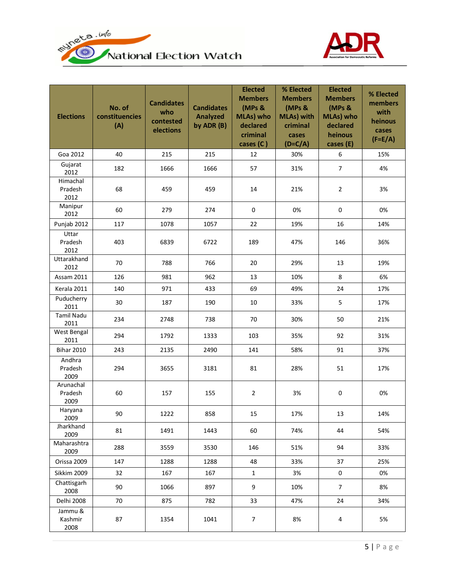



| <b>Elections</b>             | No. of<br>constituencies<br>(A) | <b>Candidates</b><br>who<br>contested<br>elections | <b>Candidates</b><br><b>Analyzed</b><br>by ADR (B) | <b>Elected</b><br><b>Members</b><br>(MPs &<br>MLAs) who<br>declared<br>criminal<br>cases (C) | % Elected<br><b>Members</b><br>(MPs &<br><b>MLAs) with</b><br>criminal<br>cases<br>$(D=C/A)$ | <b>Elected</b><br><b>Members</b><br>(MPs &<br>MLAs) who<br>declared<br>heinous<br>cases (E) | % Elected<br>members<br>with<br>heinous<br>cases<br>$(F=E/A)$ |
|------------------------------|---------------------------------|----------------------------------------------------|----------------------------------------------------|----------------------------------------------------------------------------------------------|----------------------------------------------------------------------------------------------|---------------------------------------------------------------------------------------------|---------------------------------------------------------------|
| Goa 2012                     | 40                              | 215                                                | 215                                                | 12                                                                                           | 30%                                                                                          | 6                                                                                           | 15%                                                           |
| Gujarat<br>2012              | 182                             | 1666                                               | 1666                                               | 57                                                                                           | 31%                                                                                          | $\overline{7}$                                                                              | 4%                                                            |
| Himachal<br>Pradesh<br>2012  | 68                              | 459                                                | 459                                                | 14                                                                                           | 21%                                                                                          | $\overline{2}$                                                                              | 3%                                                            |
| Manipur<br>2012              | 60                              | 279                                                | 274                                                | $\pmb{0}$                                                                                    | 0%                                                                                           | $\mathbf 0$                                                                                 | 0%                                                            |
| Punjab 2012                  | 117                             | 1078                                               | 1057                                               | 22                                                                                           | 19%                                                                                          | 16                                                                                          | 14%                                                           |
| Uttar<br>Pradesh<br>2012     | 403                             | 6839                                               | 6722                                               | 189                                                                                          | 47%                                                                                          | 146                                                                                         | 36%                                                           |
| Uttarakhand<br>2012          | 70                              | 788                                                | 766                                                | 20                                                                                           | 29%                                                                                          | 13                                                                                          | 19%                                                           |
| <b>Assam 2011</b>            | 126                             | 981                                                | 962                                                | 13                                                                                           | 10%                                                                                          | 8                                                                                           | 6%                                                            |
| Kerala 2011                  | 140                             | 971                                                | 433                                                | 69                                                                                           | 49%                                                                                          | 24                                                                                          | 17%                                                           |
| Puducherry<br>2011           | 30                              | 187                                                | 190                                                | 10                                                                                           | 33%                                                                                          | 5                                                                                           | 17%                                                           |
| <b>Tamil Nadu</b><br>2011    | 234                             | 2748                                               | 738                                                | 70                                                                                           | 30%                                                                                          | 50                                                                                          | 21%                                                           |
| West Bengal<br>2011          | 294                             | 1792                                               | 1333                                               | 103                                                                                          | 35%                                                                                          | 92                                                                                          | 31%                                                           |
| <b>Bihar 2010</b>            | 243                             | 2135                                               | 2490                                               | 141                                                                                          | 58%                                                                                          | 91                                                                                          | 37%                                                           |
| Andhra<br>Pradesh<br>2009    | 294                             | 3655                                               | 3181                                               | 81                                                                                           | 28%                                                                                          | 51                                                                                          | 17%                                                           |
| Arunachal<br>Pradesh<br>2009 | 60                              | 157                                                | 155                                                | $\overline{2}$                                                                               | 3%                                                                                           | $\pmb{0}$                                                                                   | 0%                                                            |
| Haryana<br>2009              | 90                              | 1222                                               | 858                                                | 15                                                                                           | 17%                                                                                          | 13                                                                                          | 14%                                                           |
| Jharkhand<br>2009            | 81                              | 1491                                               | 1443                                               | 60                                                                                           | 74%                                                                                          | 44                                                                                          | 54%                                                           |
| Maharashtra<br>2009          | 288                             | 3559                                               | 3530                                               | 146                                                                                          | 51%                                                                                          | 94                                                                                          | 33%                                                           |
| Orissa 2009                  | 147                             | 1288                                               | 1288                                               | 48                                                                                           | 33%                                                                                          | 37                                                                                          | 25%                                                           |
| Sikkim 2009                  | 32                              | 167                                                | 167                                                | $\mathbf{1}$                                                                                 | 3%                                                                                           | $\mathbf 0$                                                                                 | 0%                                                            |
| Chattisgarh<br>2008          | 90                              | 1066                                               | 897                                                | 9                                                                                            | 10%                                                                                          | $\overline{7}$                                                                              | 8%                                                            |
| Delhi 2008                   | 70                              | 875                                                | 782                                                | 33                                                                                           | 47%                                                                                          | 24                                                                                          | 34%                                                           |
| Jammu &<br>Kashmir<br>2008   | 87                              | 1354                                               | 1041                                               | $\overline{7}$                                                                               | 8%                                                                                           | $\pmb{4}$                                                                                   | 5%                                                            |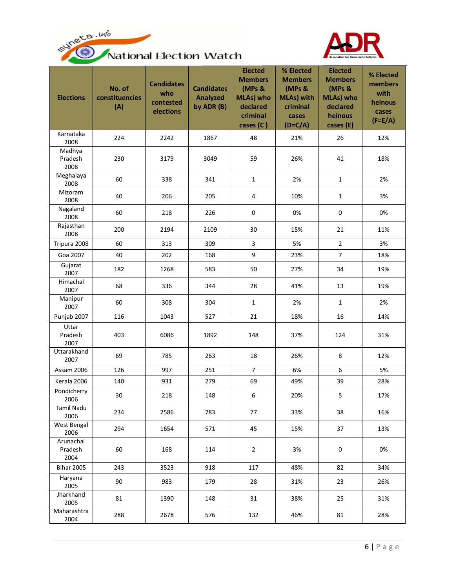



| <b>Elections</b>             | No. of<br>constituencies<br>(A) | <b>Candidates</b><br>who<br>contested<br>elections | <b>Candidates</b><br><b>Analyzed</b><br>by ADR (B) | <b>Elected</b><br><b>Members</b><br>(MPs &<br>MLAs) who<br>declared<br>criminal<br>cases (C) | % Elected<br><b>Members</b><br>(MPs &<br><b>MLAs) with</b><br>criminal<br>cases<br>$(D=C/A)$ | <b>Elected</b><br><b>Members</b><br>(MPs &<br>MLAs) who<br>declared<br>heinous<br>cases (E) | % Elected<br>members<br>with<br>heinous<br>cases<br>$(F=E/A)$ |
|------------------------------|---------------------------------|----------------------------------------------------|----------------------------------------------------|----------------------------------------------------------------------------------------------|----------------------------------------------------------------------------------------------|---------------------------------------------------------------------------------------------|---------------------------------------------------------------|
| Karnataka<br>2008            | 224                             | 2242                                               | 1867                                               | 48                                                                                           | 21%                                                                                          | 26                                                                                          | 12%                                                           |
| Madhya<br>Pradesh<br>2008    | 230                             | 3179                                               | 3049                                               | 59                                                                                           | 26%                                                                                          | 41                                                                                          | 18%                                                           |
| Meghalaya<br>2008            | 60                              | 338                                                | 341                                                | $\mathbf{1}$                                                                                 | 2%                                                                                           | $\mathbf{1}$                                                                                | 2%                                                            |
| Mizoram<br>2008              | 40                              | 206                                                | 205                                                | 4                                                                                            | 10%                                                                                          | $\mathbf{1}$                                                                                | 3%                                                            |
| Nagaland<br>2008             | 60                              | 218                                                | 226                                                | 0                                                                                            | 0%                                                                                           | 0                                                                                           | 0%                                                            |
| Rajasthan<br>2008            | 200                             | 2194                                               | 2109                                               | 30                                                                                           | 15%                                                                                          | 21                                                                                          | 11%                                                           |
| Tripura 2008                 | 60                              | 313                                                | 309                                                | 3                                                                                            | 5%                                                                                           | $\overline{2}$                                                                              | 3%                                                            |
| Goa 2007                     | 40                              | 202                                                | 168                                                | 9                                                                                            | 23%                                                                                          | $\overline{7}$                                                                              | 18%                                                           |
| Gujarat<br>2007              | 182                             | 1268                                               | 583                                                | 50                                                                                           | 27%                                                                                          | 34                                                                                          | 19%                                                           |
| Himachal<br>2007             | 68                              | 336                                                | 344                                                | 28                                                                                           | 41%                                                                                          | 13                                                                                          | 19%                                                           |
| Manipur<br>2007              | 60                              | 308                                                | 304                                                | $\mathbf{1}$                                                                                 | 2%                                                                                           | $\mathbf{1}$                                                                                | 2%                                                            |
| Punjab 2007                  | 116                             | 1043                                               | 527                                                | 21                                                                                           | 18%                                                                                          | 16                                                                                          | 14%                                                           |
| Uttar<br>Pradesh<br>2007     | 403                             | 6086                                               | 1892                                               | 148                                                                                          | 37%                                                                                          | 124                                                                                         | 31%                                                           |
| Uttarakhand<br>2007          | 69                              | 785                                                | 263                                                | 18                                                                                           | 26%                                                                                          | 8                                                                                           | 12%                                                           |
| Assam 2006                   | 126                             | 997                                                | 251                                                | $\overline{7}$                                                                               | 6%                                                                                           | 6                                                                                           | 5%                                                            |
| Kerala 2006                  | 140                             | 931                                                | 279                                                | 69                                                                                           | 49%                                                                                          | 39                                                                                          | 28%                                                           |
| Pondicherry<br>2006          | 30                              | 218                                                | 148                                                | $\,6\,$                                                                                      | 20%                                                                                          | 5                                                                                           | 17%                                                           |
| <b>Tamil Nadu</b><br>2006    | 234                             | 2586                                               | 783                                                | 77                                                                                           | 33%                                                                                          | 38                                                                                          | 16%                                                           |
| West Bengal<br>2006          | 294                             | 1654                                               | 571                                                | 45                                                                                           | 15%                                                                                          | 37                                                                                          | 13%                                                           |
| Arunachal<br>Pradesh<br>2004 | 60                              | 168                                                | 114                                                | $\overline{2}$                                                                               | 3%                                                                                           | $\pmb{0}$                                                                                   | 0%                                                            |
| <b>Bihar 2005</b>            | 243                             | 3523                                               | 918                                                | 117                                                                                          | 48%                                                                                          | 82                                                                                          | 34%                                                           |
| Haryana<br>2005              | 90                              | 983                                                | 179                                                | 28                                                                                           | 31%                                                                                          | 23                                                                                          | 26%                                                           |
| Jharkhand<br>2005            | 81                              | 1390                                               | 148                                                | 31                                                                                           | 38%                                                                                          | 25                                                                                          | 31%                                                           |
| Maharashtra<br>2004          | 288                             | 2678                                               | 576                                                | 132                                                                                          | 46%                                                                                          | 81                                                                                          | 28%                                                           |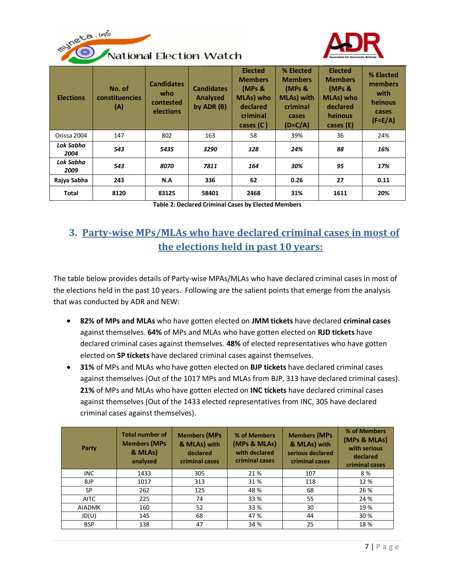



| <b>Elections</b>  | No. of<br><b>constituencies</b><br>(A) | <b>Candidates</b><br>who<br>contested<br>elections | <b>Candidates</b><br>Analyzed<br>by $ADR(B)$ | <b>Elected</b><br><b>Members</b><br>(MPs &<br>MLAs) who<br>declared<br>criminal<br>cases (C) | % Elected<br><b>Members</b><br>(MPs &<br><b>MLAs)</b> with<br>criminal<br>cases<br>$(D=C/A)$ | <b>Elected</b><br><b>Members</b><br>(MPs &<br><b>MLAs)</b> who<br>declared<br>heinous<br>cases (E) | % Elected<br>members<br>with<br>heinous<br>cases<br>$(F=E/A)$ |
|-------------------|----------------------------------------|----------------------------------------------------|----------------------------------------------|----------------------------------------------------------------------------------------------|----------------------------------------------------------------------------------------------|----------------------------------------------------------------------------------------------------|---------------------------------------------------------------|
| Orissa 2004       | 147                                    | 802                                                | 163                                          | 58                                                                                           | 39%                                                                                          | 36                                                                                                 | 24%                                                           |
| Lok Sabha<br>2004 | 543                                    | 5435                                               | 3290                                         | 128                                                                                          | 24%                                                                                          | 88                                                                                                 | 16%                                                           |
| Lok Sabha<br>2009 | 543                                    | 8070                                               | 7811                                         | 164                                                                                          | 30%                                                                                          | 95                                                                                                 | 17%                                                           |
| Rajya Sabha       | 243                                    | N.A                                                | 336                                          | 62                                                                                           | 0.26                                                                                         | 27                                                                                                 | 0.11                                                          |
| Total             | 8120                                   | 83125                                              | 58401                                        | 2468                                                                                         | 31%                                                                                          | 1611                                                                                               | 20%                                                           |

**Table 2: Declared Criminal Cases by Elected Members**

## <span id="page-6-0"></span>**3. Party-wise MPs/MLAs who have declared criminal cases in most of the elections held in past 10 years:**

The table below provides details of Party-wise MPAs/MLAs who have declared criminal cases in most of the elections held in the past 10 years. Following are the salient points that emerge from the analysis that was conducted by ADR and NEW:

- **82% of MPs and MLAs** who have gotten elected on **JMM tickets** have declared **criminal cases** against themselves. **64%** of MPs and MLAs who have gotten elected on **RJD tickets** have declared criminal cases against themselves. **48%** of elected representatives who have gotten elected on **SP tickets** have declared criminal cases against themselves.
- **31%** of MPs and MLAs who have gotten elected on **BJP tickets** have declared criminal cases against themselves (Out of the 1017 MPs and MLAs from BJP, 313 have declared criminal cases). **21%** of MPs and MLAs who have gotten elected on **INC tickets** have declared criminal cases against themselves (Out of the 1433 elected representatives from INC, 305 have declared criminal cases against themselves).

| Party         | <b>Total number of</b><br><b>Members (MPs</b><br>& MLAs)<br>analyzed | <b>Members (MPs</b><br>& MLAs) with<br>declared<br>criminal cases | % of Members<br>(MPs & MLAs)<br>with declared<br>criminal cases | <b>Members (MPs</b><br>& MLAs) with<br>serious declared<br>criminal cases | % of Members<br>(MPs & MLAs)<br>with serious<br>declared<br>criminal cases |
|---------------|----------------------------------------------------------------------|-------------------------------------------------------------------|-----------------------------------------------------------------|---------------------------------------------------------------------------|----------------------------------------------------------------------------|
| <b>INC</b>    | 1433                                                                 | 305                                                               | 21 %                                                            | 107                                                                       | 8%                                                                         |
| <b>BJP</b>    | 1017                                                                 | 313                                                               | 31%                                                             | 118                                                                       | 12 %                                                                       |
| <b>SP</b>     | 262                                                                  | 125                                                               | 48 %                                                            | 68                                                                        | 26 %                                                                       |
| <b>AITC</b>   | 225                                                                  | 74                                                                | 33 %                                                            | 55                                                                        | 24 %                                                                       |
| <b>AIADMK</b> | 160                                                                  | 52                                                                | 33 %                                                            | 30                                                                        | 19 %                                                                       |
| JD(U)         | 145                                                                  | 68                                                                | 47 %                                                            | 44                                                                        | 30 %                                                                       |
| <b>BSP</b>    | 138                                                                  | 47                                                                | 34 %                                                            | 25                                                                        | 18 %                                                                       |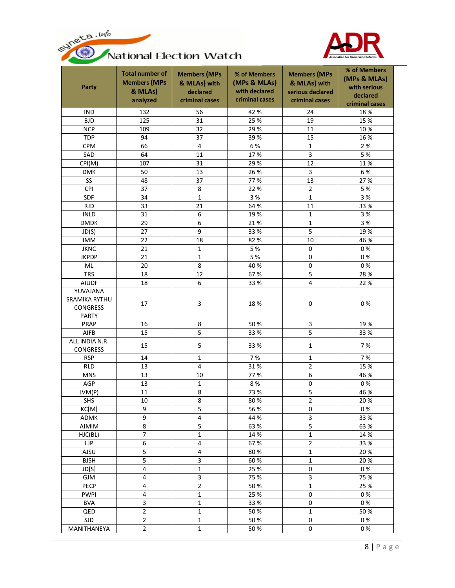



| Party                                                   | <b>Total number of</b><br><b>Members (MPs</b><br>& MLAs)<br>analyzed | <b>Members (MPs</b><br>& MLAs) with<br>declared<br>criminal cases | % of Members<br>(MPs & MLAs)<br>with declared<br>criminal cases | <b>Members (MPs</b><br>& MLAs) with<br>serious declared<br>criminal cases | % of Members<br>(MPs & MLAs)<br>with serious<br>declared<br>criminal cases |
|---------------------------------------------------------|----------------------------------------------------------------------|-------------------------------------------------------------------|-----------------------------------------------------------------|---------------------------------------------------------------------------|----------------------------------------------------------------------------|
| <b>IND</b>                                              | 132                                                                  | 56                                                                | 42 %                                                            | 24                                                                        | 18 %                                                                       |
| <b>BJD</b>                                              | 125                                                                  | 31                                                                | 25 %                                                            | 19                                                                        | 15 %                                                                       |
| <b>NCP</b>                                              | 109                                                                  | 32                                                                | 29%                                                             | 11                                                                        | 10 %                                                                       |
| <b>TDP</b>                                              | 94                                                                   | 37                                                                | 39%                                                             | 15                                                                        | 16 %                                                                       |
| <b>CPM</b>                                              | 66                                                                   | $\overline{4}$                                                    | 6 %                                                             | $\mathbf{1}$                                                              | 2 %                                                                        |
| SAD                                                     | 64                                                                   | 11                                                                | 17%                                                             | 3                                                                         | 5 %                                                                        |
| CPI(M)                                                  | 107                                                                  | 31                                                                | 29 %                                                            | 12                                                                        | 11%                                                                        |
| <b>DMK</b>                                              | 50                                                                   | 13                                                                | 26 %                                                            | 3                                                                         | 6 %                                                                        |
| SS                                                      | 48                                                                   | 37                                                                | 77 %                                                            | 13                                                                        | 27 %                                                                       |
| <b>CPI</b>                                              | 37                                                                   | 8                                                                 | 22 %                                                            | $\overline{2}$                                                            | 5 %                                                                        |
| SDF                                                     | 34                                                                   | $\mathbf{1}$                                                      | 3 %                                                             | $\mathbf{1}$                                                              | 3 %                                                                        |
| <b>RJD</b>                                              | 33                                                                   | 21                                                                | 64 %                                                            | 11                                                                        | 33 %                                                                       |
| <b>INLD</b>                                             | 31                                                                   | 6                                                                 | 19%                                                             | $\mathbf 1$                                                               | 3 %                                                                        |
| <b>DMDK</b>                                             | 29                                                                   | 6                                                                 | 21%                                                             | $\mathbf{1}$                                                              | 3 %                                                                        |
| JD(S)                                                   | 27                                                                   | 9                                                                 | 33 %                                                            | $\overline{5}$                                                            | 19%                                                                        |
| <b>JMM</b>                                              | 22                                                                   | 18                                                                | 82%                                                             | 10                                                                        | 46 %                                                                       |
| <b>JKNC</b>                                             | 21                                                                   | $\mathbf{1}$                                                      | 5 %                                                             | $\mathbf{0}$                                                              | 0%                                                                         |
| <b>JKPDP</b>                                            | 21                                                                   | $\mathbf{1}$                                                      | 5 %                                                             | $\mathbf 0$                                                               | 0%                                                                         |
| ML                                                      | 20                                                                   | 8                                                                 | 40%                                                             | 0                                                                         | 0%                                                                         |
| <b>TRS</b>                                              | 18                                                                   | 12                                                                | 67%                                                             | 5                                                                         | 28 %                                                                       |
| <b>AIUDF</b>                                            | 18                                                                   | 6                                                                 | 33 %                                                            | $\overline{\mathbf{4}}$                                                   | 22 %                                                                       |
| YUVAJANA                                                |                                                                      |                                                                   |                                                                 |                                                                           |                                                                            |
| <b>SRAMIKA RYTHU</b><br><b>CONGRESS</b><br><b>PARTY</b> | 17                                                                   | 3                                                                 | 18%                                                             | 0                                                                         | 0%                                                                         |
| PRAP                                                    | 16                                                                   | 8                                                                 | 50%                                                             | 3                                                                         | 19%                                                                        |
| AIFB                                                    | 15                                                                   | 5                                                                 | 33 %                                                            | 5                                                                         | 33 %                                                                       |
| ALL INDIA N.R.<br><b>CONGRESS</b>                       | 15                                                                   | 5                                                                 | 33 %                                                            | $\mathbf{1}$                                                              | 7%                                                                         |
| <b>RSP</b>                                              | 14                                                                   | $\mathbf{1}$                                                      | 7%                                                              | $\mathbf{1}$                                                              | 7 %                                                                        |
| <b>RLD</b>                                              | 13                                                                   | $\overline{\mathbf{4}}$                                           | 31%                                                             | $\overline{2}$                                                            | 15 %                                                                       |
| <b>MNS</b>                                              | 13                                                                   | 10                                                                | 77 %                                                            | 6                                                                         | 46 %                                                                       |
| AGP                                                     | 13                                                                   | $\mathbf 1$                                                       | 8 %                                                             | 0                                                                         | 0%                                                                         |
| JVM(P)                                                  | 11                                                                   | 8                                                                 | 73%                                                             | 5                                                                         | 46 %                                                                       |
| <b>SHS</b>                                              | 10                                                                   | 8                                                                 | 80%                                                             | $\overline{2}$                                                            | 20 %                                                                       |
| KC[M]                                                   | 9                                                                    | 5                                                                 | 56 %                                                            | $\mathbf{0}$                                                              | 0%                                                                         |
| ADMK                                                    | 9                                                                    | $\overline{\mathbf{4}}$                                           | 44 %                                                            | 3                                                                         | 33 %                                                                       |
| AIMIM                                                   | 8                                                                    | 5                                                                 | 63 %                                                            | 5                                                                         | 63 %                                                                       |
| HJC(BL)                                                 | $\overline{7}$                                                       | $\mathbf{1}$                                                      | 14 %                                                            | $\mathbf{1}$                                                              | 14 %                                                                       |
| ЦP                                                      | 6                                                                    | $\pmb{4}$                                                         | 67%                                                             | 2                                                                         | 33 %                                                                       |
| AJSU                                                    | 5                                                                    | 4                                                                 | 80%                                                             | $\mathbf{1}$                                                              | 20%                                                                        |
| <b>BJSH</b>                                             | 5                                                                    | 3                                                                 | 60%                                                             | $\mathbf 1$                                                               | 20%                                                                        |
| JD[S]                                                   | 4                                                                    | $\mathbf{1}$                                                      | 25 %                                                            | 0                                                                         | 0%                                                                         |
| <b>GJM</b>                                              | 4                                                                    | 3                                                                 | 75 %                                                            | 3                                                                         | 75 %                                                                       |
| PECP                                                    | 4                                                                    | $\overline{2}$                                                    | 50%                                                             | $\mathbf{1}$                                                              | 25 %                                                                       |
| <b>PWPI</b>                                             | 4                                                                    | $\mathbf{1}$                                                      | 25 %                                                            | $\pmb{0}$                                                                 | 0%                                                                         |
| <b>BVA</b>                                              | 3                                                                    | $\mathbf 1$                                                       | 33 %                                                            | 0                                                                         | 0%                                                                         |
| QED                                                     | $\overline{2}$                                                       | $\mathbf 1$                                                       | 50%                                                             | $\mathbf{1}$                                                              | 50%                                                                        |
| <b>SJD</b>                                              | $\overline{2}$                                                       | $\mathbf{1}$                                                      | 50%                                                             | 0                                                                         | 0%                                                                         |
| MANITHANEYA                                             | $\overline{2}$                                                       | $\mathbf{1}$                                                      | 50%                                                             | 0                                                                         | 0%                                                                         |